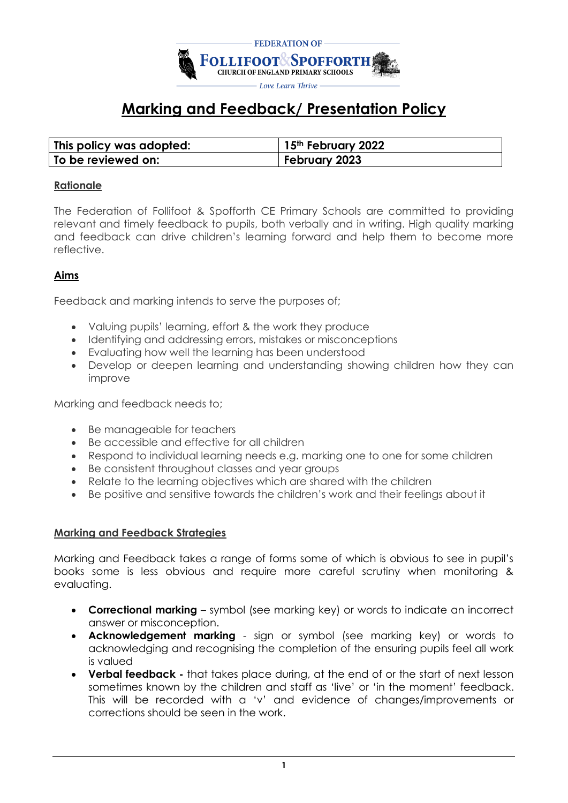

# **Marking and Feedback/ Presentation Policy**

| This policy was adopted: | 15th February 2022 |
|--------------------------|--------------------|
| To be reviewed on:       | February 2023      |

#### **Rationale**

The Federation of Follifoot & Spofforth CE Primary Schools are committed to providing relevant and timely feedback to pupils, both verbally and in writing. High quality marking and feedback can drive children's learning forward and help them to become more reflective.

#### **Aims**

Feedback and marking intends to serve the purposes of;

- Valuing pupils' learning, effort & the work they produce
- Identifying and addressing errors, mistakes or misconceptions
- Evaluating how well the learning has been understood
- Develop or deepen learning and understanding showing children how they can improve

Marking and feedback needs to;

- Be manageable for teachers
- Be accessible and effective for all children
- Respond to individual learning needs e.g. marking one to one for some children
- Be consistent throughout classes and year groups
- Relate to the learning objectives which are shared with the children
- Be positive and sensitive towards the children's work and their feelings about it

#### **Marking and Feedback Strategies**

Marking and Feedback takes a range of forms some of which is obvious to see in pupil's books some is less obvious and require more careful scrutiny when monitoring & evaluating.

- **Correctional marking** symbol (see marking key) or words to indicate an incorrect answer or misconception.
- **Acknowledgement marking** sign or symbol (see marking key) or words to acknowledging and recognising the completion of the ensuring pupils feel all work is valued
- **Verbal feedback -** that takes place during, at the end of or the start of next lesson sometimes known by the children and staff as 'live' or 'in the moment' feedback. This will be recorded with a 'v' and evidence of changes/improvements or corrections should be seen in the work.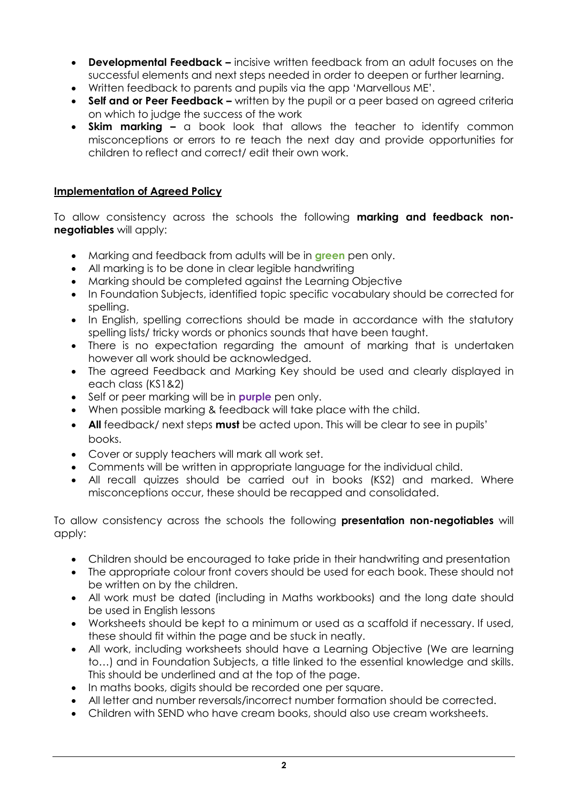- **Developmental Feedback –** incisive written feedback from an adult focuses on the successful elements and next steps needed in order to deepen or further learning.
- Written feedback to parents and pupils via the app 'Marvellous ME'.
- **Self and or Peer Feedback –** written by the pupil or a peer based on agreed criteria on which to judge the success of the work
- **Skim marking –** a book look that allows the teacher to identify common misconceptions or errors to re teach the next day and provide opportunities for children to reflect and correct/ edit their own work.

### **Implementation of Agreed Policy**

To allow consistency across the schools the following **marking and feedback nonnegotiables** will apply:

- Marking and feedback from adults will be in **green** pen only.
- All marking is to be done in clear legible handwriting
- Marking should be completed against the Learning Objective
- In Foundation Subjects, identified topic specific vocabulary should be corrected for spelling.
- In English, spelling corrections should be made in accordance with the statutory spelling lists/ tricky words or phonics sounds that have been taught.
- There is no expectation regarding the amount of marking that is undertaken however all work should be acknowledged.
- The agreed Feedback and Marking Key should be used and clearly displayed in each class (KS1&2)
- Self or peer marking will be in **purple** pen only.
- When possible marking & feedback will take place with the child.
- **All** feedback/ next steps **must** be acted upon. This will be clear to see in pupils' books.
- Cover or supply teachers will mark all work set.
- Comments will be written in appropriate language for the individual child.
- All recall quizzes should be carried out in books (KS2) and marked. Where misconceptions occur, these should be recapped and consolidated.

To allow consistency across the schools the following **presentation non-negotiables** will apply:

- Children should be encouraged to take pride in their handwriting and presentation
- The appropriate colour front covers should be used for each book. These should not be written on by the children.
- All work must be dated (including in Maths workbooks) and the long date should be used in English lessons
- Worksheets should be kept to a minimum or used as a scaffold if necessary. If used, these should fit within the page and be stuck in neatly.
- All work, including worksheets should have a Learning Objective (We are learning to…) and in Foundation Subjects, a title linked to the essential knowledge and skills. This should be underlined and at the top of the page.
- In maths books, digits should be recorded one per square.
- All letter and number reversals/incorrect number formation should be corrected.
- Children with SEND who have cream books, should also use cream worksheets.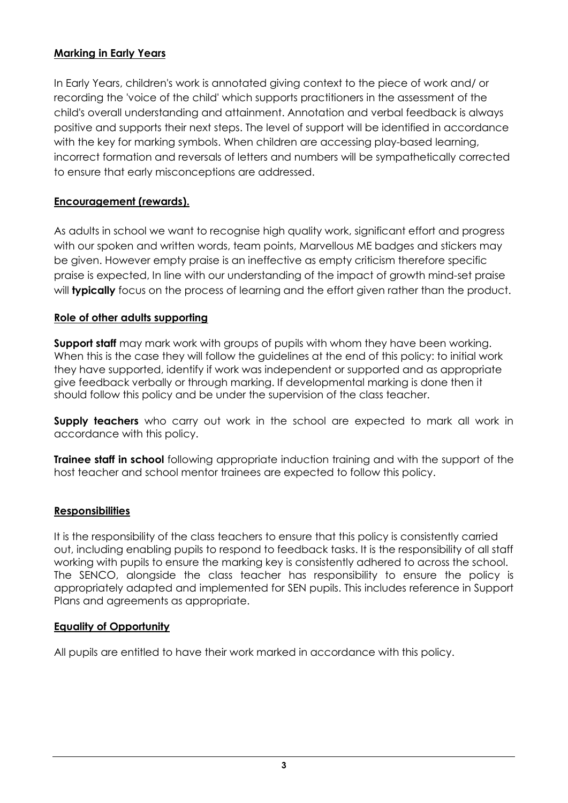# **Marking in Early Years**

In Early Years, children's work is annotated giving context to the piece of work and/ or recording the 'voice of the child' which supports practitioners in the assessment of the child's overall understanding and attainment. Annotation and verbal feedback is always positive and supports their next steps. The level of support will be identified in accordance with the key for marking symbols. When children are accessing play-based learning, incorrect formation and reversals of letters and numbers will be sympathetically corrected to ensure that early misconceptions are addressed.

# **Encouragement (rewards).**

As adults in school we want to recognise high quality work, significant effort and progress with our spoken and written words, team points, Marvellous ME badges and stickers may be given. However empty praise is an ineffective as empty criticism therefore specific praise is expected, In line with our understanding of the impact of growth mind-set praise will **typically** focus on the process of learning and the effort given rather than the product.

# **Role of other adults supporting**

**Support staff** may mark work with groups of pupils with whom they have been working. When this is the case they will follow the guidelines at the end of this policy: to initial work they have supported, identify if work was independent or supported and as appropriate give feedback verbally or through marking. If developmental marking is done then it should follow this policy and be under the supervision of the class teacher.

**Supply teachers** who carry out work in the school are expected to mark all work in accordance with this policy.

**Trainee staff in school** following appropriate induction training and with the support of the host teacher and school mentor trainees are expected to follow this policy.

# **Responsibilities**

It is the responsibility of the class teachers to ensure that this policy is consistently carried out, including enabling pupils to respond to feedback tasks. It is the responsibility of all staff working with pupils to ensure the marking key is consistently adhered to across the school. The SENCO, alongside the class teacher has responsibility to ensure the policy is appropriately adapted and implemented for SEN pupils. This includes reference in Support Plans and agreements as appropriate.

#### **Equality of Opportunity**

All pupils are entitled to have their work marked in accordance with this policy.